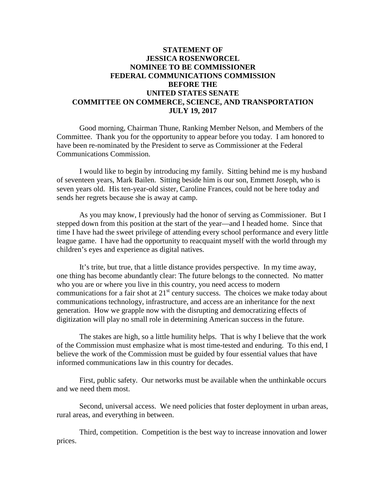## **STATEMENT OF JESSICA ROSENWORCEL NOMINEE TO BE COMMISSIONER FEDERAL COMMUNICATIONS COMMISSION BEFORE THE UNITED STATES SENATE COMMITTEE ON COMMERCE, SCIENCE, AND TRANSPORTATION JULY 19, 2017**

Good morning, Chairman Thune, Ranking Member Nelson, and Members of the Committee. Thank you for the opportunity to appear before you today. I am honored to have been re-nominated by the President to serve as Commissioner at the Federal Communications Commission.

I would like to begin by introducing my family. Sitting behind me is my husband of seventeen years, Mark Bailen. Sitting beside him is our son, Emmett Joseph, who is seven years old. His ten-year-old sister, Caroline Frances, could not be here today and sends her regrets because she is away at camp.

As you may know, I previously had the honor of serving as Commissioner. But I stepped down from this position at the start of the year—and I headed home. Since that time I have had the sweet privilege of attending every school performance and every little league game. I have had the opportunity to reacquaint myself with the world through my children's eyes and experience as digital natives.

It's trite, but true, that a little distance provides perspective. In my time away, one thing has become abundantly clear: The future belongs to the connected. No matter who you are or where you live in this country, you need access to modern communications for a fair shot at  $21<sup>st</sup>$  century success. The choices we make today about communications technology, infrastructure, and access are an inheritance for the next generation. How we grapple now with the disrupting and democratizing effects of digitization will play no small role in determining American success in the future.

The stakes are high, so a little humility helps. That is why I believe that the work of the Commission must emphasize what is most time-tested and enduring. To this end, I believe the work of the Commission must be guided by four essential values that have informed communications law in this country for decades.

First, public safety. Our networks must be available when the unthinkable occurs and we need them most.

Second, universal access. We need policies that foster deployment in urban areas, rural areas, and everything in between.

Third, competition. Competition is the best way to increase innovation and lower prices.